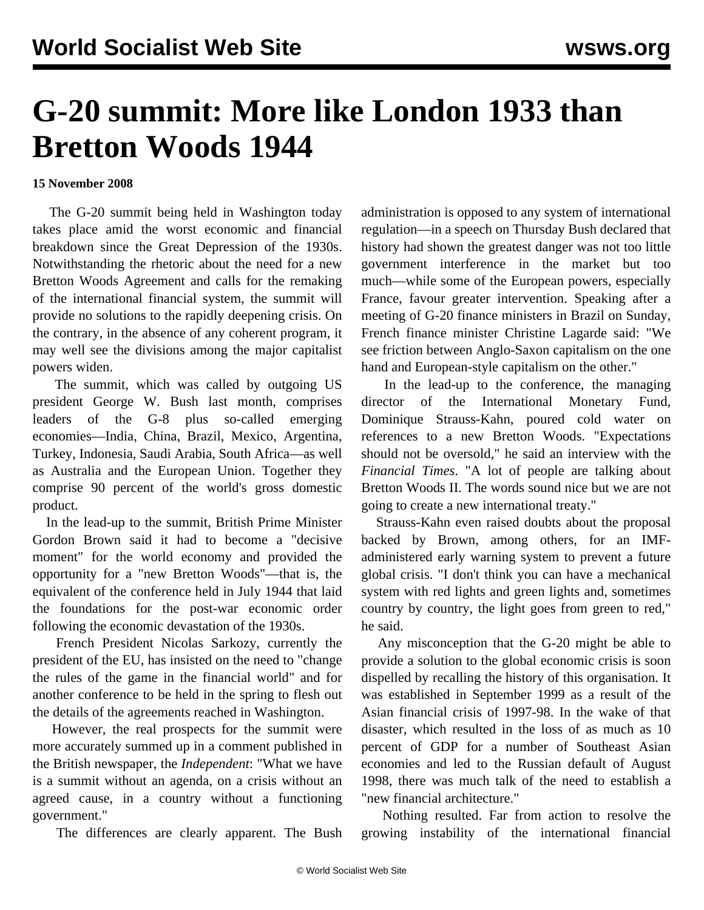## **G-20 summit: More like London 1933 than Bretton Woods 1944**

## **15 November 2008**

 The G-20 summit being held in Washington today takes place amid the worst economic and financial breakdown since the Great Depression of the 1930s. Notwithstanding the rhetoric about the need for a new Bretton Woods Agreement and calls for the remaking of the international financial system, the summit will provide no solutions to the rapidly deepening crisis. On the contrary, in the absence of any coherent program, it may well see the divisions among the major capitalist powers widen.

 The summit, which was called by outgoing US president George W. Bush last month, comprises leaders of the G-8 plus so-called emerging economies—India, China, Brazil, Mexico, Argentina, Turkey, Indonesia, Saudi Arabia, South Africa—as well as Australia and the European Union. Together they comprise 90 percent of the world's gross domestic product.

 In the lead-up to the summit, British Prime Minister Gordon Brown said it had to become a "decisive moment" for the world economy and provided the opportunity for a "new Bretton Woods"—that is, the equivalent of the conference held in July 1944 that laid the foundations for the post-war economic order following the economic devastation of the 1930s.

 French President Nicolas Sarkozy, currently the president of the EU, has insisted on the need to "change the rules of the game in the financial world" and for another conference to be held in the spring to flesh out the details of the agreements reached in Washington.

 However, the real prospects for the summit were more accurately summed up in a comment published in the British newspaper, the *Independent*: "What we have is a summit without an agenda, on a crisis without an agreed cause, in a country without a functioning government."

The differences are clearly apparent. The Bush

administration is opposed to any system of international regulation—in a speech on Thursday Bush declared that history had shown the greatest danger was not too little government interference in the market but too much—while some of the European powers, especially France, favour greater intervention. Speaking after a meeting of G-20 finance ministers in Brazil on Sunday, French finance minister Christine Lagarde said: "We see friction between Anglo-Saxon capitalism on the one hand and European-style capitalism on the other."

 In the lead-up to the conference, the managing director of the International Monetary Fund, Dominique Strauss-Kahn, poured cold water on references to a new Bretton Woods. "Expectations should not be oversold," he said an interview with the *Financial Times*. "A lot of people are talking about Bretton Woods II. The words sound nice but we are not going to create a new international treaty."

 Strauss-Kahn even raised doubts about the proposal backed by Brown, among others, for an IMFadministered early warning system to prevent a future global crisis. "I don't think you can have a mechanical system with red lights and green lights and, sometimes country by country, the light goes from green to red," he said.

 Any misconception that the G-20 might be able to provide a solution to the global economic crisis is soon dispelled by recalling the history of this organisation. It was established in September 1999 as a result of the Asian financial crisis of 1997-98. In the wake of that disaster, which resulted in the loss of as much as 10 percent of GDP for a number of Southeast Asian economies and led to the Russian default of August 1998, there was much talk of the need to establish a "new financial architecture."

 Nothing resulted. Far from action to resolve the growing instability of the international financial